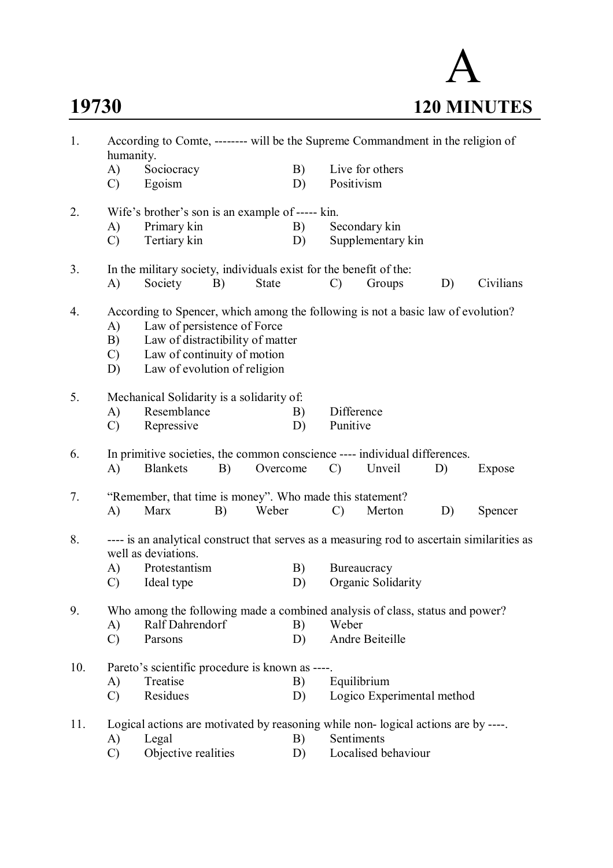## A **19730 120 MINUTES**

| 1.<br>According to Comte, -------- will be the Supreme Commandment in the religion of<br>humanity. |                                                                                             |                                                                                   |    |              |          |                    |                                    |    |           |  |  |  |
|----------------------------------------------------------------------------------------------------|---------------------------------------------------------------------------------------------|-----------------------------------------------------------------------------------|----|--------------|----------|--------------------|------------------------------------|----|-----------|--|--|--|
|                                                                                                    | A)<br>$\mathcal{C}$                                                                         | Sociocracy<br>Egoism                                                              |    |              | B)<br>D) | Positivism         | Live for others                    |    |           |  |  |  |
|                                                                                                    |                                                                                             |                                                                                   |    |              |          |                    |                                    |    |           |  |  |  |
| 2.                                                                                                 |                                                                                             | Wife's brother's son is an example of ----- kin.                                  |    |              |          |                    |                                    |    |           |  |  |  |
|                                                                                                    | A)<br>$\mathcal{C}$                                                                         | Primary kin<br>Tertiary kin                                                       |    |              | B)<br>D) |                    | Secondary kin<br>Supplementary kin |    |           |  |  |  |
|                                                                                                    |                                                                                             |                                                                                   |    |              |          |                    |                                    |    |           |  |  |  |
| 3.                                                                                                 |                                                                                             | In the military society, individuals exist for the benefit of the:                |    |              |          |                    |                                    |    |           |  |  |  |
|                                                                                                    | A)                                                                                          | Society                                                                           | B) | <b>State</b> |          | $\mathcal{C}$      | Groups                             | D) | Civilians |  |  |  |
| 4.                                                                                                 | According to Spencer, which among the following is not a basic law of evolution?            |                                                                                   |    |              |          |                    |                                    |    |           |  |  |  |
|                                                                                                    | A)                                                                                          | Law of persistence of Force                                                       |    |              |          |                    |                                    |    |           |  |  |  |
|                                                                                                    | B)                                                                                          | Law of distractibility of matter                                                  |    |              |          |                    |                                    |    |           |  |  |  |
|                                                                                                    | $\mathcal{C}$                                                                               | Law of continuity of motion                                                       |    |              |          |                    |                                    |    |           |  |  |  |
|                                                                                                    | D)                                                                                          | Law of evolution of religion                                                      |    |              |          |                    |                                    |    |           |  |  |  |
| 5.                                                                                                 | Mechanical Solidarity is a solidarity of:                                                   |                                                                                   |    |              |          |                    |                                    |    |           |  |  |  |
|                                                                                                    | A)                                                                                          | Resemblance                                                                       |    |              | B)       | Difference         |                                    |    |           |  |  |  |
|                                                                                                    | $\mathcal{C}$                                                                               | Repressive                                                                        |    |              | D)       | Punitive           |                                    |    |           |  |  |  |
| 6.                                                                                                 |                                                                                             | In primitive societies, the common conscience ---- individual differences.        |    |              |          |                    |                                    |    |           |  |  |  |
|                                                                                                    | A)                                                                                          | <b>Blankets</b>                                                                   | B) | Overcome     |          | $\mathcal{C}$      | Unveil                             | D) | Expose    |  |  |  |
| 7.                                                                                                 | "Remember, that time is money". Who made this statement?                                    |                                                                                   |    |              |          |                    |                                    |    |           |  |  |  |
|                                                                                                    | A)                                                                                          | Marx                                                                              | B) | Weber        |          | $\mathcal{C}$      | Merton                             | D) | Spencer   |  |  |  |
| 8.                                                                                                 | ---- is an analytical construct that serves as a measuring rod to ascertain similarities as |                                                                                   |    |              |          |                    |                                    |    |           |  |  |  |
|                                                                                                    | well as deviations.                                                                         |                                                                                   |    |              |          |                    |                                    |    |           |  |  |  |
|                                                                                                    | A)                                                                                          | Protestantism                                                                     |    |              | B)       |                    | Bureaucracy                        |    |           |  |  |  |
|                                                                                                    | $\mathcal{C}$                                                                               | Ideal type                                                                        |    |              | D)       | Organic Solidarity |                                    |    |           |  |  |  |
| 9.                                                                                                 |                                                                                             | Who among the following made a combined analysis of class, status and power?      |    |              |          |                    |                                    |    |           |  |  |  |
|                                                                                                    | A)                                                                                          | Ralf Dahrendorf                                                                   |    |              | B)       | Weber              |                                    |    |           |  |  |  |
|                                                                                                    | $\mathcal{C}$                                                                               | Parsons                                                                           |    |              | D)       |                    | Andre Beiteille                    |    |           |  |  |  |
| 10.                                                                                                |                                                                                             | Pareto's scientific procedure is known as ----.                                   |    |              |          |                    |                                    |    |           |  |  |  |
|                                                                                                    | A)                                                                                          | Treatise                                                                          |    |              | B)       |                    | Equilibrium                        |    |           |  |  |  |
|                                                                                                    | $\mathcal{C}$                                                                               | Residues                                                                          |    |              | D)       |                    | Logico Experimental method         |    |           |  |  |  |
| 11.                                                                                                |                                                                                             | Logical actions are motivated by reasoning while non-logical actions are by ----. |    |              |          |                    |                                    |    |           |  |  |  |
|                                                                                                    | A)                                                                                          | Legal                                                                             |    |              | B)       | Sentiments         |                                    |    |           |  |  |  |
|                                                                                                    | C)                                                                                          | Objective realities                                                               |    |              | D)       |                    | Localised behaviour                |    |           |  |  |  |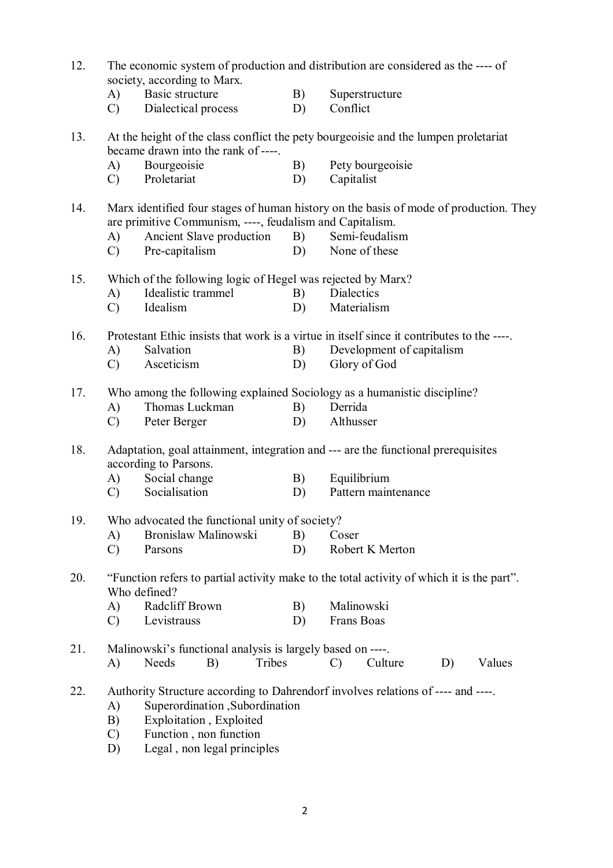| 12. | The economic system of production and distribution are considered as the ---- of<br>society, according to Marx. |                                                                                      |                     |                                                                                       |  |  |  |  |  |
|-----|-----------------------------------------------------------------------------------------------------------------|--------------------------------------------------------------------------------------|---------------------|---------------------------------------------------------------------------------------|--|--|--|--|--|
|     | A)<br>$\mathcal{C}$                                                                                             | Basic structure<br>Dialectical process                                               | B)<br>D)            | Superstructure<br>Conflict                                                            |  |  |  |  |  |
| 13. |                                                                                                                 | became drawn into the rank of ----.                                                  |                     | At the height of the class conflict the pety bourgeoisie and the lumpen proletariat   |  |  |  |  |  |
|     | A)                                                                                                              | Bourgeoisie                                                                          | B)                  | Pety bourgeoisie                                                                      |  |  |  |  |  |
|     | $\mathcal{C}$                                                                                                   | Proletariat                                                                          | D)                  | Capitalist                                                                            |  |  |  |  |  |
| 14. |                                                                                                                 | are primitive Communism, ----, feudalism and Capitalism.                             |                     | Marx identified four stages of human history on the basis of mode of production. They |  |  |  |  |  |
|     | A)                                                                                                              | Ancient Slave production                                                             | B)                  | Semi-feudalism                                                                        |  |  |  |  |  |
|     | $\mathcal{C}$                                                                                                   | Pre-capitalism                                                                       | D)<br>None of these |                                                                                       |  |  |  |  |  |
| 15. |                                                                                                                 | Which of the following logic of Hegel was rejected by Marx?                          |                     |                                                                                       |  |  |  |  |  |
|     | A)                                                                                                              | Idealistic trammel                                                                   | B)                  | Dialectics                                                                            |  |  |  |  |  |
|     | $\mathcal{C}$                                                                                                   | Idealism                                                                             | D)                  | Materialism                                                                           |  |  |  |  |  |
| 16. | Protestant Ethic insists that work is a virtue in itself since it contributes to the ----                       |                                                                                      |                     |                                                                                       |  |  |  |  |  |
|     | A)                                                                                                              | Salvation                                                                            | B)                  | Development of capitalism                                                             |  |  |  |  |  |
|     | $\mathcal{C}$                                                                                                   | Asceticism                                                                           | D)                  | Glory of God                                                                          |  |  |  |  |  |
| 17. | Who among the following explained Sociology as a humanistic discipline?                                         |                                                                                      |                     |                                                                                       |  |  |  |  |  |
|     | A)                                                                                                              | Thomas Luckman                                                                       | B)                  | Derrida                                                                               |  |  |  |  |  |
|     | $\mathcal{C}$                                                                                                   | Peter Berger                                                                         | D)                  | Althusser                                                                             |  |  |  |  |  |
| 18. |                                                                                                                 | according to Parsons.                                                                |                     | Adaptation, goal attainment, integration and --- are the functional prerequisites     |  |  |  |  |  |
|     | A)                                                                                                              | Social change                                                                        | Equilibrium<br>B)   |                                                                                       |  |  |  |  |  |
|     | $\mathcal{C}$                                                                                                   | Socialisation                                                                        | D)                  | Pattern maintenance                                                                   |  |  |  |  |  |
| 19. |                                                                                                                 | Who advocated the functional unity of society?                                       |                     |                                                                                       |  |  |  |  |  |
|     | A)                                                                                                              | Bronislaw Malinowski                                                                 | B)                  | Coser                                                                                 |  |  |  |  |  |
|     | $\mathcal{C}$                                                                                                   | Parsons                                                                              | D)                  | Robert K Merton                                                                       |  |  |  |  |  |
| 20. | "Function refers to partial activity make to the total activity of which it is the part".<br>Who defined?       |                                                                                      |                     |                                                                                       |  |  |  |  |  |
|     | $\bf{A}$                                                                                                        | Radcliff Brown                                                                       | B)                  | Malinowski                                                                            |  |  |  |  |  |
|     | $\mathcal{C}$                                                                                                   | Levistrauss                                                                          | D)                  | Frans Boas                                                                            |  |  |  |  |  |
| 21. |                                                                                                                 | Malinowski's functional analysis is largely based on ----.                           |                     |                                                                                       |  |  |  |  |  |
|     | A)                                                                                                              | Needs<br>Tribes<br>B)                                                                |                     | Culture<br>D)<br>Values<br>$\mathcal{C}$                                              |  |  |  |  |  |
| 22. | A)<br>B)<br>$\mathcal{C}$                                                                                       | Superordination , Subordination<br>Exploitation, Exploited<br>Function, non function |                     | Authority Structure according to Dahrendorf involves relations of ---- and ----.      |  |  |  |  |  |
|     | D)                                                                                                              | Legal, non legal principles                                                          |                     |                                                                                       |  |  |  |  |  |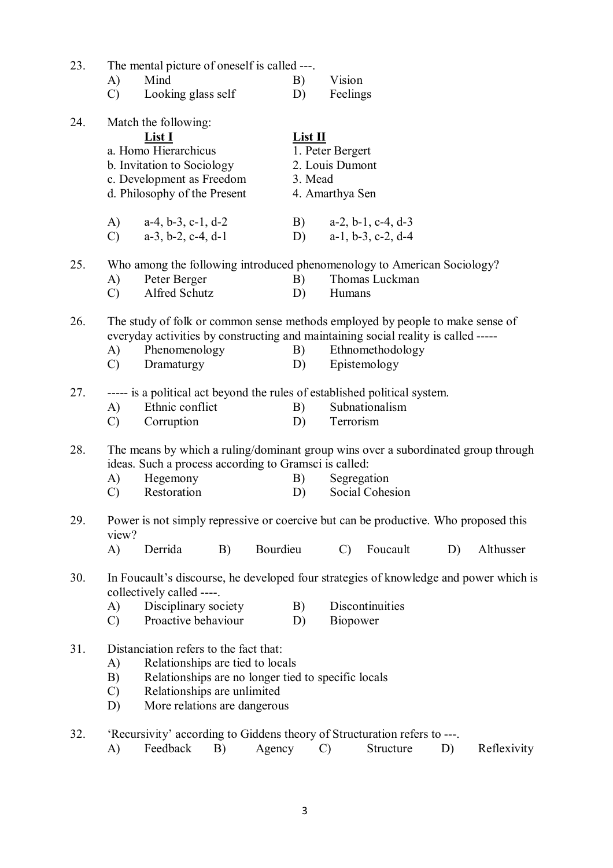| 23. | A)<br>$\mathcal{C}$                                                                                                                                                                                                                                                       | The mental picture of oneself is called ---.<br>Mind<br>Looking glass self                                                                                            |    |          | B)<br>D)                                           | Vision<br>Feelings                                     |                 |    |             |
|-----|---------------------------------------------------------------------------------------------------------------------------------------------------------------------------------------------------------------------------------------------------------------------------|-----------------------------------------------------------------------------------------------------------------------------------------------------------------------|----|----------|----------------------------------------------------|--------------------------------------------------------|-----------------|----|-------------|
| 24. |                                                                                                                                                                                                                                                                           | Match the following:<br>List I<br>a. Homo Hierarchicus<br>b. Invitation to Sociology<br>c. Development as Freedom<br>d. Philosophy of the Present                     |    |          | List II<br>3. Mead                                 | 1. Peter Bergert<br>2. Louis Dumont<br>4. Amarthya Sen |                 |    |             |
|     | A)<br>$\mathcal{C}$ )                                                                                                                                                                                                                                                     | $a-4, b-3, c-1, d-2$<br>$a-3$ , $b-2$ , $c-4$ , $d-1$                                                                                                                 |    |          | B) $a-2, b-1, c-4, d-3$<br>D) $a-1, b-3, c-2, d-4$ |                                                        |                 |    |             |
| 25. | A)<br>$\mathcal{C}$                                                                                                                                                                                                                                                       | Who among the following introduced phenomenology to American Sociology?<br>Peter Berger<br>Alfred Schutz                                                              |    |          | B)<br>D)                                           | Humans                                                 | Thomas Luckman  |    |             |
| 26. | The study of folk or common sense methods employed by people to make sense of<br>everyday activities by constructing and maintaining social reality is called -----<br>Phenomenology<br>Ethnomethodology<br>B)<br>A)<br>Epistemology<br>Dramaturgy<br>D)<br>$\mathcal{C}$ |                                                                                                                                                                       |    |          |                                                    |                                                        |                 |    |             |
| 27. | A)<br>$\mathcal{C}$                                                                                                                                                                                                                                                       | ----- is a political act beyond the rules of established political system.<br>Ethnic conflict<br>Corruption                                                           |    | B)<br>D) | Terrorism                                          | Subnationalism                                         |                 |    |             |
| 28. | A)<br>$\mathcal{C}$                                                                                                                                                                                                                                                       | The means by which a ruling/dominant group wins over a subordinated group through<br>ideas. Such a process according to Gramsci is called:<br>Hegemony<br>Restoration |    |          | B)<br>D)                                           | Segregation                                            | Social Cohesion |    |             |
| 29. | view?<br>A)                                                                                                                                                                                                                                                               | Power is not simply repressive or coercive but can be productive. Who proposed this<br>Derrida                                                                        | B) | Bourdieu |                                                    | $\mathcal{C}$                                          | Foucault        | D) | Althusser   |
| 30. | A)<br>$\mathcal{C}$                                                                                                                                                                                                                                                       | In Foucault's discourse, he developed four strategies of knowledge and power which is<br>collectively called ----.<br>Disciplinary society<br>Proactive behaviour     |    |          | B)<br>D)                                           | Biopower                                               | Discontinuities |    |             |
| 31. | Distanciation refers to the fact that:<br>Relationships are tied to locals<br>A)<br>B)<br>Relationships are no longer tied to specific locals<br>Relationships are unlimited<br>$\mathcal{C}$<br>More relations are dangerous<br>D)                                       |                                                                                                                                                                       |    |          |                                                    |                                                        |                 |    |             |
| 32. | A)                                                                                                                                                                                                                                                                        | 'Recursivity' according to Giddens theory of Structuration refers to ---.<br>Feedback                                                                                 | B) | Agency   |                                                    | $\mathcal{C}$                                          | Structure       | D) | Reflexivity |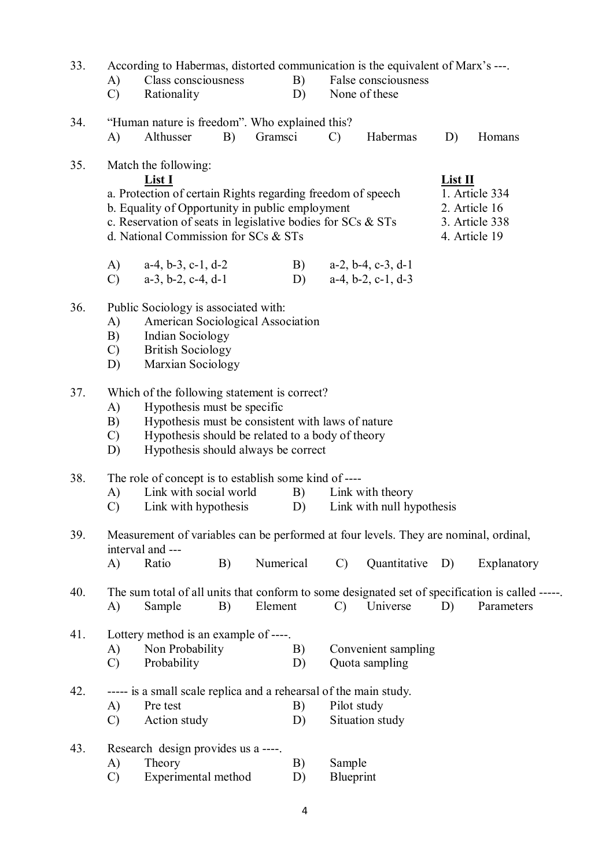| 33. | According to Habermas, distorted communication is the equivalent of Marx's ---. |                                                                                                                |    |           |                 |                                               |                               |         |                                                                                                 |  |  |  |
|-----|---------------------------------------------------------------------------------|----------------------------------------------------------------------------------------------------------------|----|-----------|-----------------|-----------------------------------------------|-------------------------------|---------|-------------------------------------------------------------------------------------------------|--|--|--|
|     | A)                                                                              | Class consciousness                                                                                            |    |           | B)              |                                               | False consciousness           |         |                                                                                                 |  |  |  |
|     | $\mathcal{C}$                                                                   | Rationality                                                                                                    |    |           | D)              |                                               | None of these                 |         |                                                                                                 |  |  |  |
|     |                                                                                 |                                                                                                                |    |           |                 |                                               |                               |         |                                                                                                 |  |  |  |
| 34. |                                                                                 | "Human nature is freedom". Who explained this?                                                                 |    |           |                 |                                               |                               |         |                                                                                                 |  |  |  |
|     | A)                                                                              | Althusser                                                                                                      | B) | Gramsci   |                 | $\mathcal{C}$                                 | Habermas                      | D)      | Homans                                                                                          |  |  |  |
|     |                                                                                 |                                                                                                                |    |           |                 |                                               |                               |         |                                                                                                 |  |  |  |
| 35. |                                                                                 | Match the following:                                                                                           |    |           |                 |                                               |                               |         |                                                                                                 |  |  |  |
|     |                                                                                 | List I                                                                                                         |    |           |                 |                                               |                               | List II | 1. Article 334                                                                                  |  |  |  |
|     |                                                                                 | a. Protection of certain Rights regarding freedom of speech<br>b. Equality of Opportunity in public employment |    |           |                 |                                               |                               |         | 2. Article 16                                                                                   |  |  |  |
|     |                                                                                 | c. Reservation of seats in legislative bodies for $SCs$ & $STs$                                                |    |           |                 |                                               |                               |         | 3. Article 338                                                                                  |  |  |  |
|     |                                                                                 | d. National Commission for SCs & STs                                                                           |    |           |                 |                                               |                               |         | 4. Article 19                                                                                   |  |  |  |
|     |                                                                                 |                                                                                                                |    |           |                 |                                               |                               |         |                                                                                                 |  |  |  |
|     | A)                                                                              | $a-4$ , $b-3$ , $c-1$ , $d-2$                                                                                  |    |           | B)              |                                               | $a-2$ , $b-4$ , $c-3$ , $d-1$ |         |                                                                                                 |  |  |  |
|     | $\mathcal{C}$                                                                   | $a-3$ , $b-2$ , $c-4$ , $d-1$                                                                                  |    |           | D)              |                                               | $a-4, b-2, c-1, d-3$          |         |                                                                                                 |  |  |  |
|     |                                                                                 |                                                                                                                |    |           |                 |                                               |                               |         |                                                                                                 |  |  |  |
| 36. | Public Sociology is associated with:                                            |                                                                                                                |    |           |                 |                                               |                               |         |                                                                                                 |  |  |  |
|     | A)                                                                              | American Sociological Association                                                                              |    |           |                 |                                               |                               |         |                                                                                                 |  |  |  |
|     | B)                                                                              | <b>Indian Sociology</b>                                                                                        |    |           |                 |                                               |                               |         |                                                                                                 |  |  |  |
|     | $\mathcal{C}$                                                                   | <b>British Sociology</b>                                                                                       |    |           |                 |                                               |                               |         |                                                                                                 |  |  |  |
|     | D)                                                                              | Marxian Sociology                                                                                              |    |           |                 |                                               |                               |         |                                                                                                 |  |  |  |
|     |                                                                                 |                                                                                                                |    |           |                 |                                               |                               |         |                                                                                                 |  |  |  |
| 37. |                                                                                 | Which of the following statement is correct?                                                                   |    |           |                 |                                               |                               |         |                                                                                                 |  |  |  |
|     | A)                                                                              | Hypothesis must be specific<br>Hypothesis must be consistent with laws of nature                               |    |           |                 |                                               |                               |         |                                                                                                 |  |  |  |
|     | B)<br>$\mathcal{C}$                                                             | Hypothesis should be related to a body of theory                                                               |    |           |                 |                                               |                               |         |                                                                                                 |  |  |  |
|     | D)                                                                              | Hypothesis should always be correct                                                                            |    |           |                 |                                               |                               |         |                                                                                                 |  |  |  |
|     |                                                                                 |                                                                                                                |    |           |                 |                                               |                               |         |                                                                                                 |  |  |  |
| 38. | The role of concept is to establish some kind of ----                           |                                                                                                                |    |           |                 |                                               |                               |         |                                                                                                 |  |  |  |
|     | A)                                                                              | Link with social world                                                                                         |    |           | B)              |                                               |                               |         |                                                                                                 |  |  |  |
|     | $\mathcal{C}$                                                                   | Link with hypothesis                                                                                           |    |           | D)              | Link with theory<br>Link with null hypothesis |                               |         |                                                                                                 |  |  |  |
|     |                                                                                 |                                                                                                                |    |           |                 |                                               |                               |         |                                                                                                 |  |  |  |
| 39. |                                                                                 | Measurement of variables can be performed at four levels. They are nominal, ordinal,                           |    |           |                 |                                               |                               |         |                                                                                                 |  |  |  |
|     |                                                                                 | interval and ---                                                                                               |    |           |                 |                                               |                               |         |                                                                                                 |  |  |  |
|     | A)                                                                              | Ratio                                                                                                          | B) | Numerical |                 | $\mathcal{C}$                                 | Quantitative                  | D)      | Explanatory                                                                                     |  |  |  |
| 40. |                                                                                 |                                                                                                                |    |           |                 |                                               |                               |         | The sum total of all units that conform to some designated set of specification is called ----- |  |  |  |
|     | A)                                                                              | Sample                                                                                                         | B) | Element   |                 | $\mathcal{C}$                                 | Universe                      | D)      | Parameters                                                                                      |  |  |  |
|     |                                                                                 |                                                                                                                |    |           |                 |                                               |                               |         |                                                                                                 |  |  |  |
| 41. |                                                                                 | Lottery method is an example of ----.                                                                          |    |           |                 |                                               |                               |         |                                                                                                 |  |  |  |
|     | A)                                                                              | Non Probability                                                                                                |    |           | B)              |                                               | Convenient sampling           |         |                                                                                                 |  |  |  |
|     | C)                                                                              | Probability                                                                                                    |    |           | D)              |                                               | Quota sampling                |         |                                                                                                 |  |  |  |
|     |                                                                                 |                                                                                                                |    |           |                 |                                               |                               |         |                                                                                                 |  |  |  |
| 42. |                                                                                 | ----- is a small scale replica and a rehearsal of the main study.                                              |    |           |                 |                                               |                               |         |                                                                                                 |  |  |  |
|     | A)                                                                              | Pre test                                                                                                       |    |           | B)              | Pilot study                                   |                               |         |                                                                                                 |  |  |  |
|     | $\mathcal{C}$                                                                   | Action study                                                                                                   |    | D)        | Situation study |                                               |                               |         |                                                                                                 |  |  |  |
|     |                                                                                 |                                                                                                                |    |           |                 |                                               |                               |         |                                                                                                 |  |  |  |
| 43. | Research design provides us a ----.                                             |                                                                                                                |    |           |                 |                                               |                               |         |                                                                                                 |  |  |  |
|     | A)                                                                              | Theory                                                                                                         |    |           | B)              | Sample                                        |                               |         |                                                                                                 |  |  |  |
|     | $\mathcal{C}$                                                                   | Experimental method                                                                                            |    |           | D)              | Blueprint                                     |                               |         |                                                                                                 |  |  |  |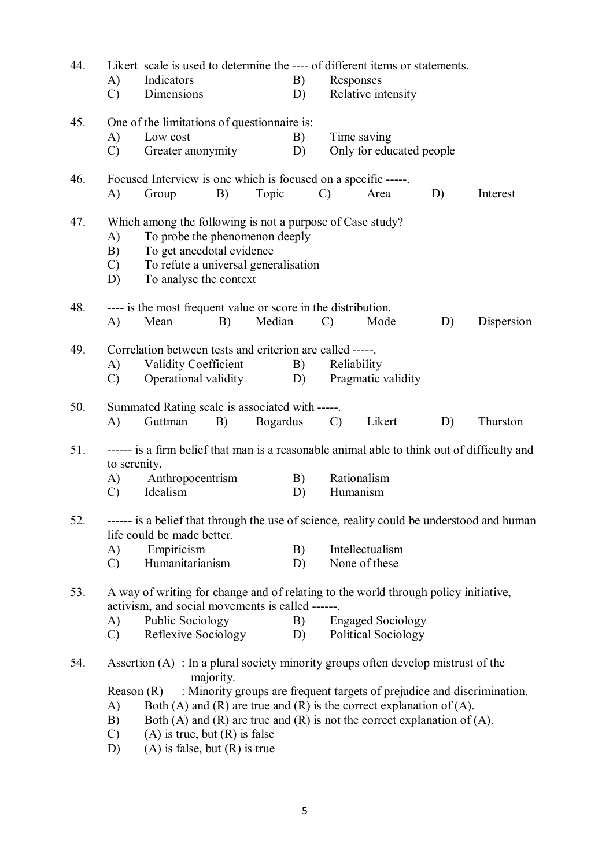| 44. | A)<br>$\mathcal{C}$                                                                                                                                                                                                                                                             | Indicators<br>Dimensions                                                                                                                                                                                                                                                                                                          |           |        | Likert scale is used to determine the ---- of different items or statements.<br>Responses<br>B)<br>Relative intensity<br>D) |               |                                                                         |    |            |
|-----|---------------------------------------------------------------------------------------------------------------------------------------------------------------------------------------------------------------------------------------------------------------------------------|-----------------------------------------------------------------------------------------------------------------------------------------------------------------------------------------------------------------------------------------------------------------------------------------------------------------------------------|-----------|--------|-----------------------------------------------------------------------------------------------------------------------------|---------------|-------------------------------------------------------------------------|----|------------|
| 45. | A)<br>$\mathcal{C}$                                                                                                                                                                                                                                                             | One of the limitations of questionnaire is:<br>Low cost<br>Greater anonymity                                                                                                                                                                                                                                                      |           |        | B)<br>D)                                                                                                                    |               | Time saving<br>Only for educated people                                 |    |            |
| 46. | A)                                                                                                                                                                                                                                                                              | Focused Interview is one which is focused on a specific -----.<br>Group                                                                                                                                                                                                                                                           | B)        | Topic  |                                                                                                                             | $\mathcal{C}$ | Area                                                                    | D) | Interest   |
| 47. | Which among the following is not a purpose of Case study?<br>To probe the phenomenon deeply<br>A)<br>To get anecdotal evidence<br>B)<br>To refute a universal generalisation<br>$\mathcal{C}$<br>To analyse the context<br>D)                                                   |                                                                                                                                                                                                                                                                                                                                   |           |        |                                                                                                                             |               |                                                                         |    |            |
| 48. | A)                                                                                                                                                                                                                                                                              | ---- is the most frequent value or score in the distribution.<br>Mean                                                                                                                                                                                                                                                             | B)        | Median |                                                                                                                             | $\mathcal{C}$ | Mode                                                                    | D) | Dispersion |
| 49. | A)<br>$\mathcal{C}$                                                                                                                                                                                                                                                             | Correlation between tests and criterion are called -----.<br><b>Validity Coefficient</b><br>Operational validity                                                                                                                                                                                                                  |           |        | B)<br>D)                                                                                                                    | Reliability   | Pragmatic validity                                                      |    |            |
| 50. | A)                                                                                                                                                                                                                                                                              | Summated Rating scale is associated with -----.<br><b>Bogardus</b><br>Guttman<br>B)<br>$\mathcal{C}$<br>Likert<br>D)                                                                                                                                                                                                              |           |        |                                                                                                                             |               |                                                                         |    | Thurston   |
| 51. | to serenity.<br>A)<br>$\mathcal{C}$                                                                                                                                                                                                                                             | ------ is a firm belief that man is a reasonable animal able to think out of difficulty and<br>Anthropocentrism<br>Idealism                                                                                                                                                                                                       |           |        | B)<br>D)                                                                                                                    | Humanism      | Rationalism                                                             |    |            |
| 52. | A)<br>$\mathcal{C}$                                                                                                                                                                                                                                                             | ------ is a belief that through the use of science, reality could be understood and human<br>life could be made better.<br>Empiricism<br>Humanitarianism                                                                                                                                                                          |           |        | B)<br>D)                                                                                                                    |               | Intellectualism<br>None of these                                        |    |            |
| 53. | A way of writing for change and of relating to the world through policy initiative,<br>activism, and social movements is called ------.<br>Public Sociology<br><b>Engaged Sociology</b><br>A)<br>B)<br>Reflexive Sociology<br><b>Political Sociology</b><br>$\mathcal{C}$<br>D) |                                                                                                                                                                                                                                                                                                                                   |           |        |                                                                                                                             |               |                                                                         |    |            |
| 54. | A)<br>B)<br>$\mathcal{C}$<br>D)                                                                                                                                                                                                                                                 | Assertion $(A)$ : In a plural society minority groups often develop mistrust of the<br>Reason $(R)$<br>Both (A) and (R) are true and (R) is the correct explanation of (A).<br>Both (A) and (R) are true and (R) is not the correct explanation of (A).<br>$(A)$ is true, but $(R)$ is false<br>$(A)$ is false, but $(R)$ is true | majority. |        |                                                                                                                             |               | : Minority groups are frequent targets of prejudice and discrimination. |    |            |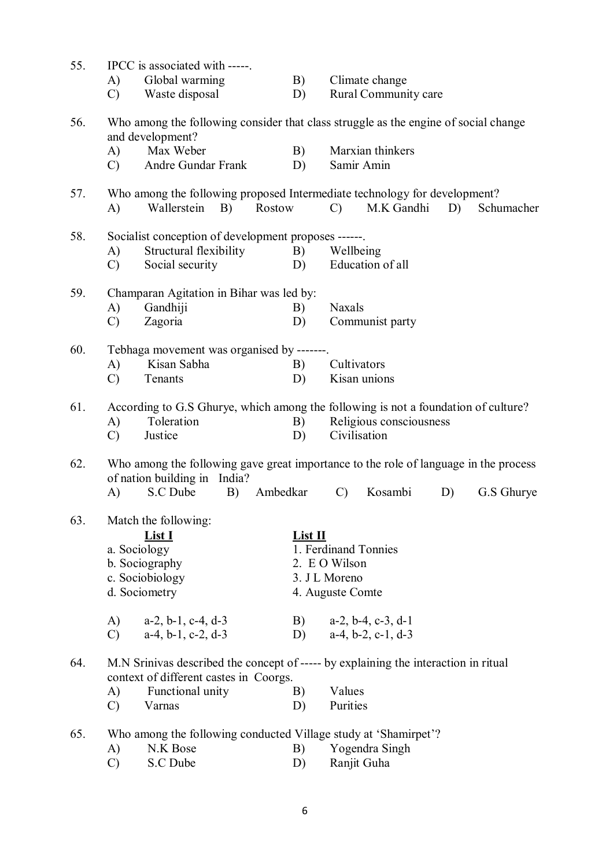| 55. | IPCC is associated with -----.                                                                                       |                                                                                                                               |          |                  |                               |    |            |  |  |  |  |  |
|-----|----------------------------------------------------------------------------------------------------------------------|-------------------------------------------------------------------------------------------------------------------------------|----------|------------------|-------------------------------|----|------------|--|--|--|--|--|
|     | A)                                                                                                                   | Global warming                                                                                                                | B)       |                  | Climate change                |    |            |  |  |  |  |  |
|     | $\mathcal{C}$                                                                                                        | Waste disposal                                                                                                                | D)       |                  | Rural Community care          |    |            |  |  |  |  |  |
| 56. | A)                                                                                                                   | Who among the following consider that class struggle as the engine of social change<br>and development?<br>Max Weber          | B)       |                  | Marxian thinkers              |    |            |  |  |  |  |  |
|     | $\mathcal{C}$                                                                                                        | Andre Gundar Frank                                                                                                            | D)       |                  | Samir Amin                    |    |            |  |  |  |  |  |
|     |                                                                                                                      |                                                                                                                               |          |                  |                               |    |            |  |  |  |  |  |
| 57. | A)                                                                                                                   | Who among the following proposed Intermediate technology for development?<br>Wallerstein<br>B)                                | Rostow   | $\mathcal{C}$    | M.K Gandhi                    | D) | Schumacher |  |  |  |  |  |
| 58. |                                                                                                                      | Socialist conception of development proposes ------.                                                                          |          |                  |                               |    |            |  |  |  |  |  |
|     | A)                                                                                                                   | Structural flexibility                                                                                                        | B)       | Wellbeing        |                               |    |            |  |  |  |  |  |
|     | $\mathcal{C}$                                                                                                        | Social security                                                                                                               | D)       |                  | Education of all              |    |            |  |  |  |  |  |
|     |                                                                                                                      |                                                                                                                               |          |                  |                               |    |            |  |  |  |  |  |
| 59. |                                                                                                                      | Champaran Agitation in Bihar was led by:                                                                                      |          | <b>Naxals</b>    |                               |    |            |  |  |  |  |  |
|     | A)<br>$\mathcal{C}$                                                                                                  | Gandhiji<br>Zagoria                                                                                                           | B)<br>D) |                  | Communist party               |    |            |  |  |  |  |  |
|     |                                                                                                                      |                                                                                                                               |          |                  |                               |    |            |  |  |  |  |  |
| 60. |                                                                                                                      | Tebhaga movement was organised by -------.                                                                                    |          |                  |                               |    |            |  |  |  |  |  |
|     | A)                                                                                                                   | Kisan Sabha                                                                                                                   | B)       | Cultivators      |                               |    |            |  |  |  |  |  |
|     | $\mathcal{C}$                                                                                                        | Tenants                                                                                                                       | D)       |                  | Kisan unions                  |    |            |  |  |  |  |  |
|     |                                                                                                                      |                                                                                                                               |          |                  |                               |    |            |  |  |  |  |  |
| 61. | A)                                                                                                                   | According to G.S Ghurye, which among the following is not a foundation of culture?<br>Toleration                              | B)       |                  | Religious consciousness       |    |            |  |  |  |  |  |
|     | $\mathcal{C}$                                                                                                        | Justice                                                                                                                       | D)       |                  | Civilisation                  |    |            |  |  |  |  |  |
|     |                                                                                                                      |                                                                                                                               |          |                  |                               |    |            |  |  |  |  |  |
| 62. | Who among the following gave great importance to the role of language in the process<br>of nation building in India? |                                                                                                                               |          |                  |                               |    |            |  |  |  |  |  |
|     | A)                                                                                                                   | S.C Dube<br>B)                                                                                                                | Ambedkar | $\mathcal{C}$    | Kosambi                       | D) | G.S Ghurye |  |  |  |  |  |
|     |                                                                                                                      |                                                                                                                               |          |                  |                               |    |            |  |  |  |  |  |
| 63. |                                                                                                                      | Match the following:<br>List I                                                                                                | List II  |                  |                               |    |            |  |  |  |  |  |
|     | a. Sociology                                                                                                         |                                                                                                                               |          |                  | 1. Ferdinand Tonnies          |    |            |  |  |  |  |  |
|     |                                                                                                                      | b. Sociography                                                                                                                |          | 2. E O Wilson    |                               |    |            |  |  |  |  |  |
|     |                                                                                                                      | c. Sociobiology                                                                                                               |          | 3. J L Moreno    |                               |    |            |  |  |  |  |  |
|     |                                                                                                                      | d. Sociometry                                                                                                                 |          | 4. Auguste Comte |                               |    |            |  |  |  |  |  |
|     | A)                                                                                                                   | $a-2$ , $b-1$ , $c-4$ , $d-3$                                                                                                 | B)       |                  | $a-2$ , $b-4$ , $c-3$ , $d-1$ |    |            |  |  |  |  |  |
|     | $\mathcal{C}$                                                                                                        | $a-4$ , $b-1$ , $c-2$ , $d-3$                                                                                                 | D)       |                  | $a-4$ , $b-2$ , $c-1$ , $d-3$ |    |            |  |  |  |  |  |
|     |                                                                                                                      |                                                                                                                               |          |                  |                               |    |            |  |  |  |  |  |
| 64. |                                                                                                                      | M.N Srinivas described the concept of ----- by explaining the interaction in ritual<br>context of different castes in Coorgs. |          |                  |                               |    |            |  |  |  |  |  |
|     | A)                                                                                                                   | Functional unity                                                                                                              | B)       | Values           |                               |    |            |  |  |  |  |  |
|     | $\mathcal{C}$                                                                                                        | Varnas                                                                                                                        | D)       | Purities         |                               |    |            |  |  |  |  |  |
|     |                                                                                                                      | Who among the following conducted Village study at 'Shamirpet'?                                                               |          |                  |                               |    |            |  |  |  |  |  |
| 65. |                                                                                                                      |                                                                                                                               |          |                  |                               |    |            |  |  |  |  |  |
|     | A)<br>$\mathcal{C}$                                                                                                  | N.K Bose<br>S.C Dube                                                                                                          | B)<br>D) |                  | Yogendra Singh<br>Ranjit Guha |    |            |  |  |  |  |  |
|     |                                                                                                                      |                                                                                                                               |          |                  |                               |    |            |  |  |  |  |  |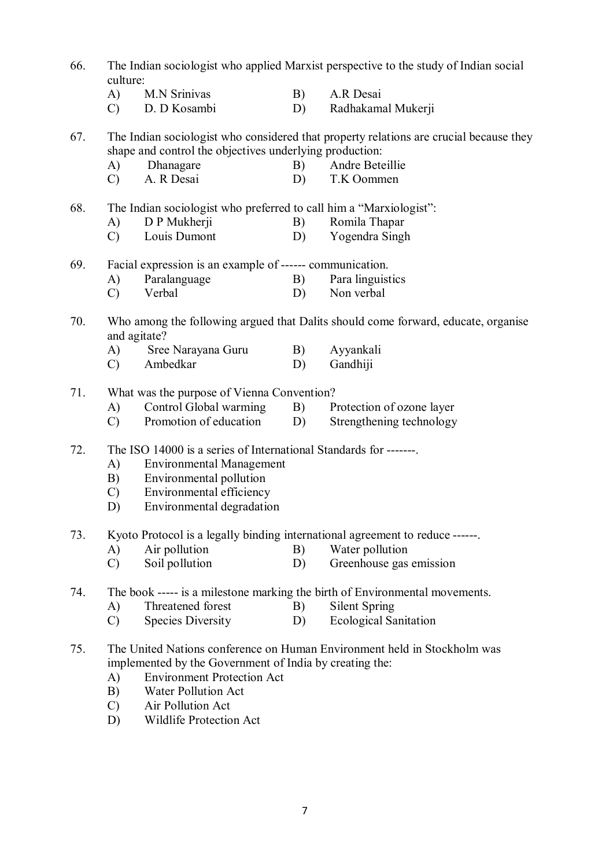| 66. | The Indian sociologist who applied Marxist perspective to the study of Indian social<br>culture: |                                                                                                   |    |                                                                                        |  |  |  |  |  |  |  |
|-----|--------------------------------------------------------------------------------------------------|---------------------------------------------------------------------------------------------------|----|----------------------------------------------------------------------------------------|--|--|--|--|--|--|--|
|     | A)                                                                                               | M.N Srinivas                                                                                      | B) | A.R Desai                                                                              |  |  |  |  |  |  |  |
|     | $\mathcal{C}$                                                                                    | D. D Kosambi                                                                                      | D) | Radhakamal Mukerji                                                                     |  |  |  |  |  |  |  |
| 67. |                                                                                                  | shape and control the objectives underlying production:                                           |    | The Indian sociologist who considered that property relations are crucial because they |  |  |  |  |  |  |  |
|     | A)                                                                                               | Dhanagare                                                                                         | B) | Andre Beteillie                                                                        |  |  |  |  |  |  |  |
|     | $\mathcal{C}$                                                                                    | A. R Desai                                                                                        | D) | T.K Oommen                                                                             |  |  |  |  |  |  |  |
| 68. |                                                                                                  | The Indian sociologist who preferred to call him a "Marxiologist":                                |    |                                                                                        |  |  |  |  |  |  |  |
|     | A)                                                                                               | D P Mukherji                                                                                      | B) | Romila Thapar                                                                          |  |  |  |  |  |  |  |
|     | $\mathcal{C}$                                                                                    | Louis Dumont                                                                                      | D) | Yogendra Singh                                                                         |  |  |  |  |  |  |  |
| 69. |                                                                                                  | Facial expression is an example of ------ communication.                                          |    |                                                                                        |  |  |  |  |  |  |  |
|     | A)                                                                                               | Paralanguage                                                                                      | B) | Para linguistics                                                                       |  |  |  |  |  |  |  |
|     | $\mathcal{C}$                                                                                    | Verbal                                                                                            | D) | Non verbal                                                                             |  |  |  |  |  |  |  |
| 70. |                                                                                                  | Who among the following argued that Dalits should come forward, educate, organise<br>and agitate? |    |                                                                                        |  |  |  |  |  |  |  |
|     | A)                                                                                               | Sree Narayana Guru                                                                                | B) | Ayyankali                                                                              |  |  |  |  |  |  |  |
|     | $\mathcal{C}$                                                                                    | Ambedkar                                                                                          | D) | Gandhiji                                                                               |  |  |  |  |  |  |  |
| 71. |                                                                                                  | What was the purpose of Vienna Convention?                                                        |    |                                                                                        |  |  |  |  |  |  |  |
|     | A)                                                                                               | Control Global warming                                                                            | B) | Protection of ozone layer                                                              |  |  |  |  |  |  |  |
|     | $\mathcal{C}$                                                                                    | Promotion of education                                                                            | D) | Strengthening technology                                                               |  |  |  |  |  |  |  |
| 72. | The ISO 14000 is a series of International Standards for -------                                 |                                                                                                   |    |                                                                                        |  |  |  |  |  |  |  |
|     | A)                                                                                               | <b>Environmental Management</b>                                                                   |    |                                                                                        |  |  |  |  |  |  |  |
|     | B)                                                                                               | Environmental pollution                                                                           |    |                                                                                        |  |  |  |  |  |  |  |
|     | $\mathcal{C}$                                                                                    | Environmental efficiency                                                                          |    |                                                                                        |  |  |  |  |  |  |  |
|     | D)                                                                                               | Environmental degradation                                                                         |    |                                                                                        |  |  |  |  |  |  |  |
| 73. |                                                                                                  |                                                                                                   |    | Kyoto Protocol is a legally binding international agreement to reduce ------           |  |  |  |  |  |  |  |
|     | A)                                                                                               | Air pollution                                                                                     | B) | Water pollution                                                                        |  |  |  |  |  |  |  |
|     | $\mathcal{C}$                                                                                    | Soil pollution                                                                                    | D) | Greenhouse gas emission                                                                |  |  |  |  |  |  |  |
| 74. |                                                                                                  |                                                                                                   |    | The book ----- is a milestone marking the birth of Environmental movements.            |  |  |  |  |  |  |  |
|     | A)                                                                                               | Threatened forest                                                                                 | B) | <b>Silent Spring</b>                                                                   |  |  |  |  |  |  |  |
|     | $\mathcal{C}$                                                                                    | <b>Species Diversity</b>                                                                          | D) | <b>Ecological Sanitation</b>                                                           |  |  |  |  |  |  |  |
| 75. | A)                                                                                               | implemented by the Government of India by creating the:<br><b>Environment Protection Act</b>      |    | The United Nations conference on Human Environment held in Stockholm was               |  |  |  |  |  |  |  |
|     | B)                                                                                               | <b>Water Pollution Act</b>                                                                        |    |                                                                                        |  |  |  |  |  |  |  |
|     | $\mathcal{C}$                                                                                    | Air Pollution Act                                                                                 |    |                                                                                        |  |  |  |  |  |  |  |
|     |                                                                                                  |                                                                                                   |    |                                                                                        |  |  |  |  |  |  |  |

D) Wildlife Protection Act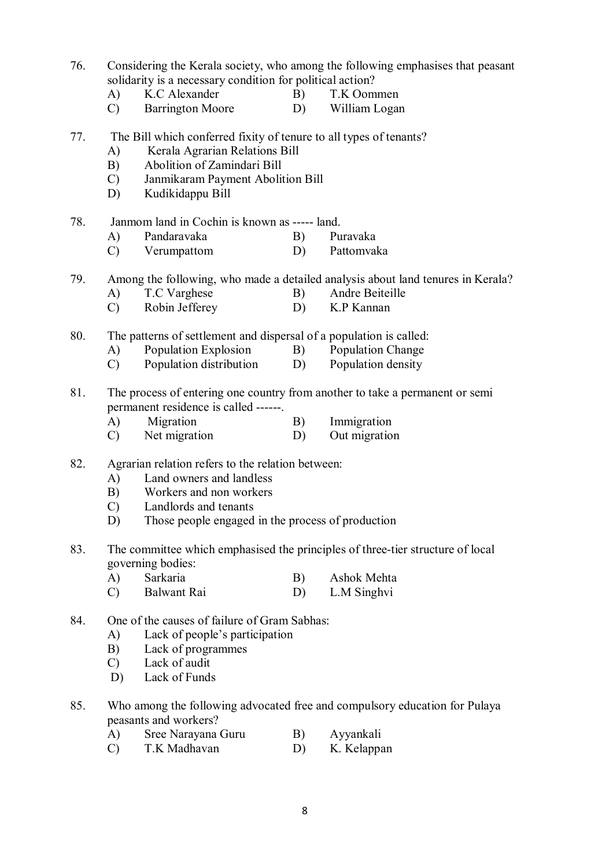- 76. Considering the Kerala society, who among the following emphasises that peasant solidarity is a necessary condition for political action?
	- A) K.C Alexander B) T.K Oommen
	- C) Barrington Moore D) William Logan
- 77. The Bill which conferred fixity of tenure to all types of tenants?
	- A) Kerala Agrarian Relations Bill
	- B) Abolition of Zamindari Bill
	- C) Janmikaram Payment Abolition Bill
	- D) Kudikidappu Bill
- 78. Janmom land in Cochin is known as ----- land.
	- A) Pandaravaka B) Puravaka
	- C) Verumpattom D) Pattomvaka
- 79. Among the following, who made a detailed analysis about land tenures in Kerala?
	- A) T.C Varghese B) Andre Beiteille
	- C) Robin Jefferey D) K.P Kannan
- 80. The patterns of settlement and dispersal of a population is called:
	- A) Population Explosion B) Population Change
	- C) Population distribution D) Population density
- 81. The process of entering one country from another to take a permanent or semi permanent residence is called ------.
	- A) Migration B) Immigration
	- C) Net migration D) Out migration
- 82. Agrarian relation refers to the relation between:
	- A) Land owners and landless
	- B) Workers and non workers
	- C) Landlords and tenants
	- D) Those people engaged in the process of production
- 83. The committee which emphasised the principles of three-tier structure of local governing bodies:
	- A) Sarkaria B) Ashok Mehta C) Balwant Rai D) L.M Singhvi
- 84. One of the causes of failure of Gram Sabhas:
	- A) Lack of people's participation
	- B) Lack of programmes
	- C) Lack of audit
	- D) Lack of Funds
- 85. Who among the following advocated free and compulsory education for Pulaya peasants and workers?
	- A) Sree Narayana Guru B) Ayyankali
	- C) T.K Madhavan D) K. Kelappan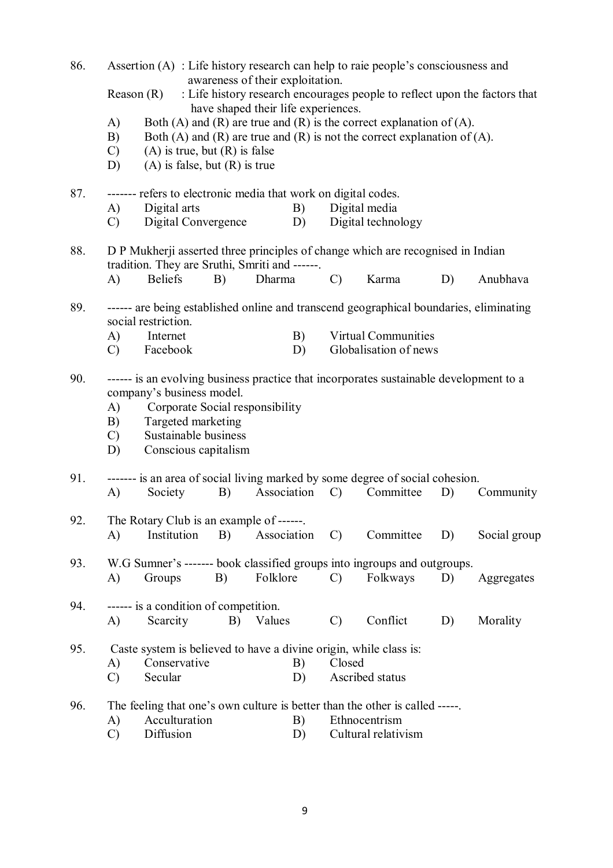| 86.<br>Assertion $(A)$ : Life history research can help to raie people's consciousness and<br>awareness of their exploitation. |                                                                                                                                   |                                                                                                                                    |    |                                                                                                                                                                                                  |               |                                      |    |              |  |  |
|--------------------------------------------------------------------------------------------------------------------------------|-----------------------------------------------------------------------------------------------------------------------------------|------------------------------------------------------------------------------------------------------------------------------------|----|--------------------------------------------------------------------------------------------------------------------------------------------------------------------------------------------------|---------------|--------------------------------------|----|--------------|--|--|
|                                                                                                                                |                                                                                                                                   | Reason(R)                                                                                                                          |    | : Life history research encourages people to reflect upon the factors that                                                                                                                       |               |                                      |    |              |  |  |
|                                                                                                                                | A)<br>B)<br>C)<br>D)                                                                                                              | $(A)$ is true, but $(R)$ is false<br>$(A)$ is false, but $(R)$ is true                                                             |    | have shaped their life experiences.<br>Both (A) and (R) are true and (R) is the correct explanation of (A).<br>Both $(A)$ and $(R)$ are true and $(R)$ is not the correct explanation of $(A)$ . |               |                                      |    |              |  |  |
| 87.                                                                                                                            | A)<br>$\mathcal{C}$                                                                                                               | Digital arts<br>Digital Convergence                                                                                                |    | ------- refers to electronic media that work on digital codes.<br>B)<br>D)                                                                                                                       |               | Digital media<br>Digital technology  |    |              |  |  |
| 88.                                                                                                                            | D P Mukherji asserted three principles of change which are recognised in Indian<br>tradition. They are Sruthi, Smriti and ------. |                                                                                                                                    |    |                                                                                                                                                                                                  |               |                                      |    |              |  |  |
|                                                                                                                                | $\bf{A}$                                                                                                                          | <b>Beliefs</b>                                                                                                                     | B) | Dharma                                                                                                                                                                                           | $\mathcal{C}$ | Karma                                | D) | Anubhava     |  |  |
| 89.                                                                                                                            | ------ are being established online and transcend geographical boundaries, eliminating<br>social restriction.                     |                                                                                                                                    |    |                                                                                                                                                                                                  |               |                                      |    |              |  |  |
|                                                                                                                                | A)                                                                                                                                | Internet                                                                                                                           |    | B)                                                                                                                                                                                               |               | <b>Virtual Communities</b>           |    |              |  |  |
|                                                                                                                                | $\mathcal{C}$                                                                                                                     | Facebook                                                                                                                           |    | D)                                                                                                                                                                                               |               | Globalisation of news                |    |              |  |  |
| 90.                                                                                                                            | A)<br>B)<br>$\mathcal{C}$<br>D)                                                                                                   | company's business model.<br>Corporate Social responsibility<br>Targeted marketing<br>Sustainable business<br>Conscious capitalism |    | ------ is an evolving business practice that incorporates sustainable development to a                                                                                                           |               |                                      |    |              |  |  |
| 91.                                                                                                                            | $\bf{A}$                                                                                                                          | Society                                                                                                                            | B) | ------- is an area of social living marked by some degree of social cohesion.<br>Association                                                                                                     | $\mathcal{C}$ | Committee                            | D) | Community    |  |  |
| 92.                                                                                                                            | A)                                                                                                                                | The Rotary Club is an example of ------.<br>Institution                                                                            | B) | Association C)                                                                                                                                                                                   |               | Committee                            | D) | Social group |  |  |
| 93.                                                                                                                            | A)                                                                                                                                | Groups                                                                                                                             | B) | W.G Sumner's ------- book classified groups into ingroups and outgroups.<br>Folklore                                                                                                             | $\mathcal{C}$ | Folkways                             | D) | Aggregates   |  |  |
| 94.                                                                                                                            | A)                                                                                                                                | ------ is a condition of competition.<br>Scarcity                                                                                  | B) | Values                                                                                                                                                                                           | $\mathcal{C}$ | Conflict                             | D) | Morality     |  |  |
| 95.                                                                                                                            | A)<br>$\mathcal{C}$                                                                                                               | Conservative<br>Secular                                                                                                            |    | Caste system is believed to have a divine origin, while class is:<br>B)<br>D)                                                                                                                    | Closed        | Ascribed status                      |    |              |  |  |
| 96.                                                                                                                            | A)<br>$\mathcal{C}$                                                                                                               | Acculturation<br>Diffusion                                                                                                         |    | The feeling that one's own culture is better than the other is called -----.<br>B)<br>D)                                                                                                         |               | Ethnocentrism<br>Cultural relativism |    |              |  |  |

9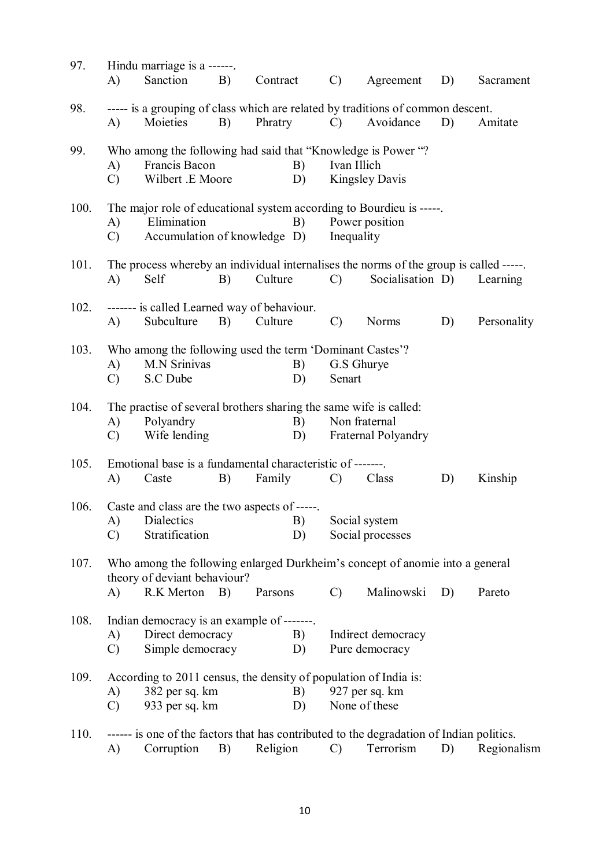| 97.  |                                                                              | Hindu marriage is a ------.                                                            |    |          |                |                |                                                                                          |    |             |  |  |  |
|------|------------------------------------------------------------------------------|----------------------------------------------------------------------------------------|----|----------|----------------|----------------|------------------------------------------------------------------------------------------|----|-------------|--|--|--|
|      | A)                                                                           | Sanction                                                                               | B) | Contract |                | $\mathcal{C}$  | Agreement                                                                                | D) | Sacrament   |  |  |  |
| 98.  |                                                                              |                                                                                        |    |          |                |                | ----- is a grouping of class which are related by traditions of common descent.          |    |             |  |  |  |
|      | A)                                                                           | Moieties                                                                               | B) | Phratry  |                | $\mathcal{C}$  | Avoidance                                                                                | D) | Amitate     |  |  |  |
| 99.  |                                                                              | Who among the following had said that "Knowledge is Power "?                           |    |          |                |                |                                                                                          |    |             |  |  |  |
|      | A)                                                                           | Francis Bacon                                                                          |    |          | B)             | Ivan Illich    |                                                                                          |    |             |  |  |  |
|      | C)                                                                           | Wilbert .E Moore                                                                       |    |          | D)             |                | <b>Kingsley Davis</b>                                                                    |    |             |  |  |  |
| 100. |                                                                              |                                                                                        |    |          |                |                | The major role of educational system according to Bourdieu is -----.                     |    |             |  |  |  |
|      | A)                                                                           | Elimination                                                                            |    |          | B)             | Power position |                                                                                          |    |             |  |  |  |
|      | Accumulation of knowledge D)<br>Inequality<br>$\mathcal{C}$                  |                                                                                        |    |          |                |                |                                                                                          |    |             |  |  |  |
| 101. |                                                                              | The process whereby an individual internalises the norms of the group is called -----. |    |          |                |                |                                                                                          |    |             |  |  |  |
|      | A)                                                                           | Self                                                                                   | B) | Culture  |                | $\mathcal{C}$  | Socialisation D)                                                                         |    | Learning    |  |  |  |
| 102. |                                                                              | ------- is called Learned way of behaviour.                                            |    |          |                |                |                                                                                          |    |             |  |  |  |
|      | A)                                                                           | Subculture                                                                             | B) | Culture  |                | $\mathcal{C}$  | <b>Norms</b>                                                                             | D) | Personality |  |  |  |
| 103. |                                                                              | Who among the following used the term 'Dominant Castes'?                               |    |          |                |                |                                                                                          |    |             |  |  |  |
|      | A)                                                                           | <b>M.N Srinivas</b>                                                                    |    |          | B)             |                | G.S Ghurye                                                                               |    |             |  |  |  |
|      | $\mathcal{C}$                                                                | S.C Dube                                                                               |    |          | D)             | Senart         |                                                                                          |    |             |  |  |  |
| 104. |                                                                              | The practise of several brothers sharing the same wife is called:                      |    |          |                |                |                                                                                          |    |             |  |  |  |
|      | A)                                                                           | Polyandry                                                                              |    |          | B)             |                | Non fraternal                                                                            |    |             |  |  |  |
|      | $\mathcal{C}$                                                                | Wife lending                                                                           |    |          | D)             |                | Fraternal Polyandry                                                                      |    |             |  |  |  |
| 105. |                                                                              | Emotional base is a fundamental characteristic of -------.                             |    |          |                |                |                                                                                          |    |             |  |  |  |
|      | A)                                                                           | Caste                                                                                  | B) | Family   |                | $\mathcal{C}$  | Class                                                                                    | D) | Kinship     |  |  |  |
| 106. | Caste and class are the two aspects of -----.                                |                                                                                        |    |          |                |                |                                                                                          |    |             |  |  |  |
|      |                                                                              | A) Dialectics                                                                          |    |          |                |                | B) Social system                                                                         |    |             |  |  |  |
|      | $\mathcal{C}$                                                                | Stratification                                                                         |    |          | D)             |                | Social processes                                                                         |    |             |  |  |  |
| 107. | Who among the following enlarged Durkheim's concept of anomie into a general |                                                                                        |    |          |                |                |                                                                                          |    |             |  |  |  |
|      |                                                                              | theory of deviant behaviour?                                                           |    |          |                |                |                                                                                          |    |             |  |  |  |
|      | A)                                                                           | R.K Merton                                                                             | B) | Parsons  |                | $\mathcal{C}$  | Malinowski                                                                               | D) | Pareto      |  |  |  |
| 108. |                                                                              | Indian democracy is an example of -------.                                             |    |          |                |                |                                                                                          |    |             |  |  |  |
|      | A)                                                                           | Direct democracy                                                                       |    |          | B)<br>D)       |                | Indirect democracy                                                                       |    |             |  |  |  |
|      | C)                                                                           | Simple democracy                                                                       |    |          | Pure democracy |                |                                                                                          |    |             |  |  |  |
| 109. |                                                                              | According to 2011 census, the density of population of India is:                       |    |          |                |                |                                                                                          |    |             |  |  |  |
|      | A)                                                                           | 382 per sq. km                                                                         |    |          | B)             |                | 927 per sq. km                                                                           |    |             |  |  |  |
|      | $\mathcal{C}$                                                                | 933 per sq. km                                                                         |    |          | D)             |                | None of these                                                                            |    |             |  |  |  |
| 110. |                                                                              |                                                                                        |    |          |                |                | ------ is one of the factors that has contributed to the degradation of Indian politics. |    |             |  |  |  |
|      | A)                                                                           | Corruption                                                                             | B) | Religion |                | $\mathcal{C}$  | Terrorism                                                                                | D) | Regionalism |  |  |  |